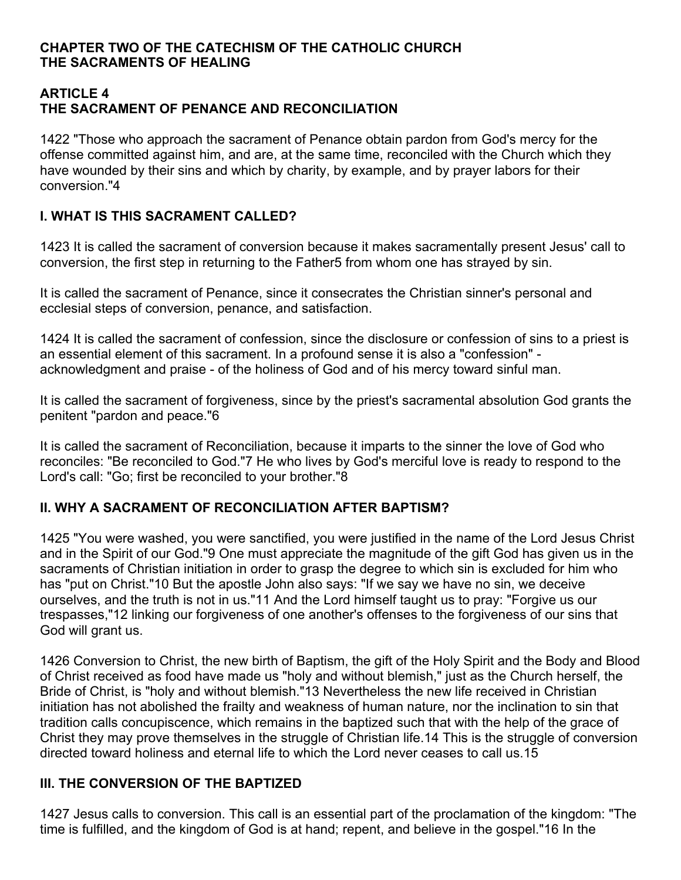## **CHAPTER TWO OF THE CATECHISM OF THE CATHOLIC CHURCH THE SACRAMENTS OF HEALING**

## **ARTICLE 4 THE SACRAMENT OF PENANCE AND RECONCILIATION**

1422 "Those who approach the sacrament of Penance obtain pardon from God's mercy for the offense committed against him, and are, at the same time, reconciled with the Church which they have wounded by their sins and which by charity, by example, and by prayer labors for their conversion."4

## **I. WHAT IS THIS SACRAMENT CALLED?**

1423 It is called the sacrament of conversion because it makes sacramentally present Jesus' call to conversion, the first step in returning to the Father5 from whom one has strayed by sin.

It is called the sacrament of Penance, since it consecrates the Christian sinner's personal and ecclesial steps of conversion, penance, and satisfaction.

1424 It is called the sacrament of confession, since the disclosure or confession of sins to a priest is an essential element of this sacrament. In a profound sense it is also a "confession" acknowledgment and praise - of the holiness of God and of his mercy toward sinful man.

It is called the sacrament of forgiveness, since by the priest's sacramental absolution God grants the penitent "pardon and peace."6

It is called the sacrament of Reconciliation, because it imparts to the sinner the love of God who reconciles: "Be reconciled to God."7 He who lives by God's merciful love is ready to respond to the Lord's call: "Go; first be reconciled to your brother."8

## **II. WHY A SACRAMENT OF RECONCILIATION AFTER BAPTISM?**

1425 "You were washed, you were sanctified, you were justified in the name of the Lord Jesus Christ and in the Spirit of our God."9 One must appreciate the magnitude of the gift God has given us in the sacraments of Christian initiation in order to grasp the degree to which sin is excluded for him who has "put on Christ."10 But the apostle John also says: "If we say we have no sin, we deceive ourselves, and the truth is not in us."11 And the Lord himself taught us to pray: "Forgive us our trespasses,"12 linking our forgiveness of one another's offenses to the forgiveness of our sins that God will grant us.

1426 Conversion to Christ, the new birth of Baptism, the gift of the Holy Spirit and the Body and Blood of Christ received as food have made us "holy and without blemish," just as the Church herself, the Bride of Christ, is "holy and without blemish."13 Nevertheless the new life received in Christian initiation has not abolished the frailty and weakness of human nature, nor the inclination to sin that tradition calls concupiscence, which remains in the baptized such that with the help of the grace of Christ they may prove themselves in the struggle of Christian life.14 This is the struggle of conversion directed toward holiness and eternal life to which the Lord never ceases to call us.15

## **III. THE CONVERSION OF THE BAPTIZED**

1427 Jesus calls to conversion. This call is an essential part of the proclamation of the kingdom: "The time is fulfilled, and the kingdom of God is at hand; repent, and believe in the gospel."16 In the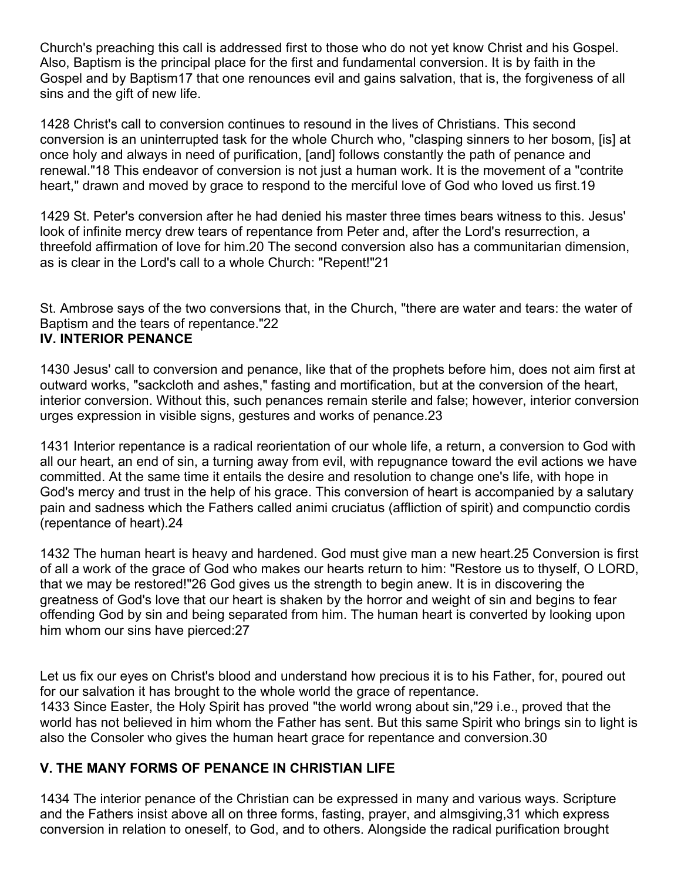Church's preaching this call is addressed first to those who do not yet know Christ and his Gospel. Also, Baptism is the principal place for the first and fundamental conversion. It is by faith in the Gospel and by Baptism17 that one renounces evil and gains salvation, that is, the forgiveness of all sins and the gift of new life.

1428 Christ's call to conversion continues to resound in the lives of Christians. This second conversion is an uninterrupted task for the whole Church who, "clasping sinners to her bosom, [is] at once holy and always in need of purification, [and] follows constantly the path of penance and renewal."18 This endeavor of conversion is not just a human work. It is the movement of a "contrite heart," drawn and moved by grace to respond to the merciful love of God who loved us first.19

1429 St. Peter's conversion after he had denied his master three times bears witness to this. Jesus' look of infinite mercy drew tears of repentance from Peter and, after the Lord's resurrection, a threefold affirmation of love for him.20 The second conversion also has a communitarian dimension, as is clear in the Lord's call to a whole Church: "Repent!"21

St. Ambrose says of the two conversions that, in the Church, "there are water and tears: the water of Baptism and the tears of repentance."22 **IV. INTERIOR PENANCE** 

#### 1430 Jesus' call to conversion and penance, like that of the prophets before him, does not aim first at outward works, "sackcloth and ashes," fasting and mortification, but at the conversion of the heart, interior conversion. Without this, such penances remain sterile and false; however, interior conversion urges expression in visible signs, gestures and works of penance.23

1431 Interior repentance is a radical reorientation of our whole life, a return, a conversion to God with all our heart, an end of sin, a turning away from evil, with repugnance toward the evil actions we have committed. At the same time it entails the desire and resolution to change one's life, with hope in God's mercy and trust in the help of his grace. This conversion of heart is accompanied by a salutary pain and sadness which the Fathers called animi cruciatus (affliction of spirit) and compunctio cordis (repentance of heart).24

1432 The human heart is heavy and hardened. God must give man a new heart.25 Conversion is first of all a work of the grace of God who makes our hearts return to him: "Restore us to thyself, O LORD, that we may be restored!"26 God gives us the strength to begin anew. It is in discovering the greatness of God's love that our heart is shaken by the horror and weight of sin and begins to fear offending God by sin and being separated from him. The human heart is converted by looking upon him whom our sins have pierced:27

Let us fix our eyes on Christ's blood and understand how precious it is to his Father, for, poured out for our salvation it has brought to the whole world the grace of repentance. 1433 Since Easter, the Holy Spirit has proved "the world wrong about sin,"29 i.e., proved that the world has not believed in him whom the Father has sent. But this same Spirit who brings sin to light is also the Consoler who gives the human heart grace for repentance and conversion.30

## **V. THE MANY FORMS OF PENANCE IN CHRISTIAN LIFE**

1434 The interior penance of the Christian can be expressed in many and various ways. Scripture and the Fathers insist above all on three forms, fasting, prayer, and almsgiving,31 which express conversion in relation to oneself, to God, and to others. Alongside the radical purification brought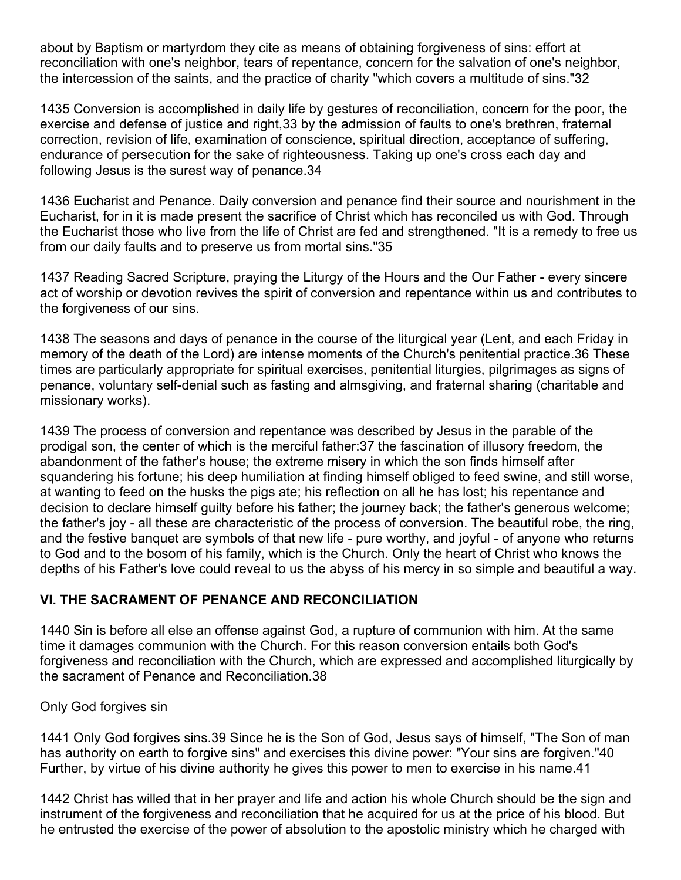about by Baptism or martyrdom they cite as means of obtaining forgiveness of sins: effort at reconciliation with one's neighbor, tears of repentance, concern for the salvation of one's neighbor, the intercession of the saints, and the practice of charity "which covers a multitude of sins."32

1435 Conversion is accomplished in daily life by gestures of reconciliation, concern for the poor, the exercise and defense of justice and right,33 by the admission of faults to one's brethren, fraternal correction, revision of life, examination of conscience, spiritual direction, acceptance of suffering, endurance of persecution for the sake of righteousness. Taking up one's cross each day and following Jesus is the surest way of penance.34

1436 Eucharist and Penance. Daily conversion and penance find their source and nourishment in the Eucharist, for in it is made present the sacrifice of Christ which has reconciled us with God. Through the Eucharist those who live from the life of Christ are fed and strengthened. "It is a remedy to free us from our daily faults and to preserve us from mortal sins."35

1437 Reading Sacred Scripture, praying the Liturgy of the Hours and the Our Father - every sincere act of worship or devotion revives the spirit of conversion and repentance within us and contributes to the forgiveness of our sins.

1438 The seasons and days of penance in the course of the liturgical year (Lent, and each Friday in memory of the death of the Lord) are intense moments of the Church's penitential practice.36 These times are particularly appropriate for spiritual exercises, penitential liturgies, pilgrimages as signs of penance, voluntary self-denial such as fasting and almsgiving, and fraternal sharing (charitable and missionary works).

1439 The process of conversion and repentance was described by Jesus in the parable of the prodigal son, the center of which is the merciful father:37 the fascination of illusory freedom, the abandonment of the father's house; the extreme misery in which the son finds himself after squandering his fortune; his deep humiliation at finding himself obliged to feed swine, and still worse, at wanting to feed on the husks the pigs ate; his reflection on all he has lost; his repentance and decision to declare himself guilty before his father; the journey back; the father's generous welcome; the father's joy - all these are characteristic of the process of conversion. The beautiful robe, the ring, and the festive banquet are symbols of that new life - pure worthy, and joyful - of anyone who returns to God and to the bosom of his family, which is the Church. Only the heart of Christ who knows the depths of his Father's love could reveal to us the abyss of his mercy in so simple and beautiful a way.

## **VI. THE SACRAMENT OF PENANCE AND RECONCILIATION**

1440 Sin is before all else an offense against God, a rupture of communion with him. At the same time it damages communion with the Church. For this reason conversion entails both God's forgiveness and reconciliation with the Church, which are expressed and accomplished liturgically by the sacrament of Penance and Reconciliation.38

Only God forgives sin

1441 Only God forgives sins.39 Since he is the Son of God, Jesus says of himself, "The Son of man has authority on earth to forgive sins" and exercises this divine power: "Your sins are forgiven."40 Further, by virtue of his divine authority he gives this power to men to exercise in his name.41

1442 Christ has willed that in her prayer and life and action his whole Church should be the sign and instrument of the forgiveness and reconciliation that he acquired for us at the price of his blood. But he entrusted the exercise of the power of absolution to the apostolic ministry which he charged with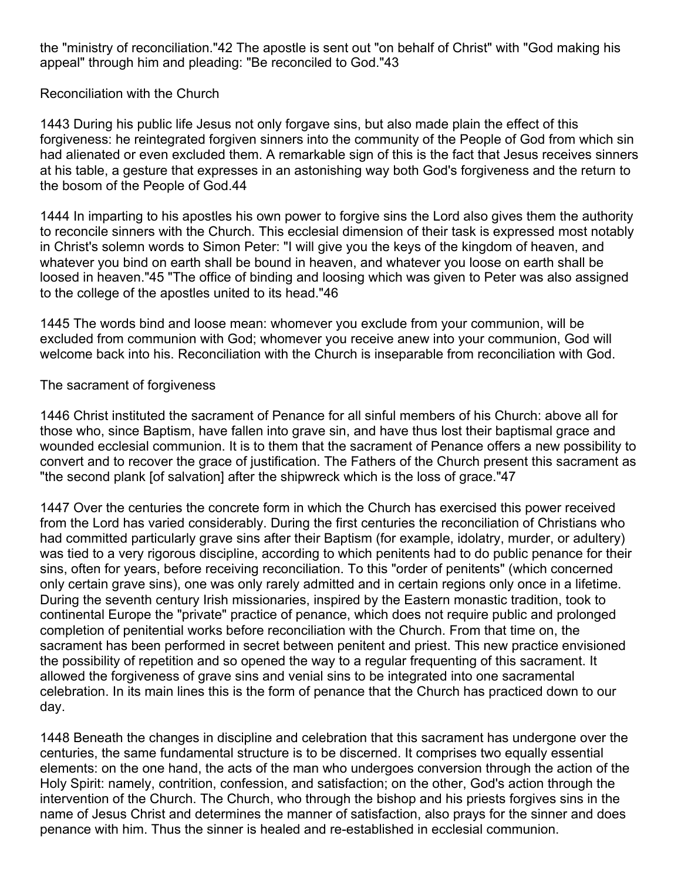the "ministry of reconciliation."42 The apostle is sent out "on behalf of Christ" with "God making his appeal" through him and pleading: "Be reconciled to God."43

Reconciliation with the Church

1443 During his public life Jesus not only forgave sins, but also made plain the effect of this forgiveness: he reintegrated forgiven sinners into the community of the People of God from which sin had alienated or even excluded them. A remarkable sign of this is the fact that Jesus receives sinners at his table, a gesture that expresses in an astonishing way both God's forgiveness and the return to the bosom of the People of God.44

1444 In imparting to his apostles his own power to forgive sins the Lord also gives them the authority to reconcile sinners with the Church. This ecclesial dimension of their task is expressed most notably in Christ's solemn words to Simon Peter: "I will give you the keys of the kingdom of heaven, and whatever you bind on earth shall be bound in heaven, and whatever you loose on earth shall be loosed in heaven."45 "The office of binding and loosing which was given to Peter was also assigned to the college of the apostles united to its head."46

1445 The words bind and loose mean: whomever you exclude from your communion, will be excluded from communion with God; whomever you receive anew into your communion, God will welcome back into his. Reconciliation with the Church is inseparable from reconciliation with God.

The sacrament of forgiveness

1446 Christ instituted the sacrament of Penance for all sinful members of his Church: above all for those who, since Baptism, have fallen into grave sin, and have thus lost their baptismal grace and wounded ecclesial communion. It is to them that the sacrament of Penance offers a new possibility to convert and to recover the grace of justification. The Fathers of the Church present this sacrament as "the second plank [of salvation] after the shipwreck which is the loss of grace."47

1447 Over the centuries the concrete form in which the Church has exercised this power received from the Lord has varied considerably. During the first centuries the reconciliation of Christians who had committed particularly grave sins after their Baptism (for example, idolatry, murder, or adultery) was tied to a very rigorous discipline, according to which penitents had to do public penance for their sins, often for years, before receiving reconciliation. To this "order of penitents" (which concerned only certain grave sins), one was only rarely admitted and in certain regions only once in a lifetime. During the seventh century Irish missionaries, inspired by the Eastern monastic tradition, took to continental Europe the "private" practice of penance, which does not require public and prolonged completion of penitential works before reconciliation with the Church. From that time on, the sacrament has been performed in secret between penitent and priest. This new practice envisioned the possibility of repetition and so opened the way to a regular frequenting of this sacrament. It allowed the forgiveness of grave sins and venial sins to be integrated into one sacramental celebration. In its main lines this is the form of penance that the Church has practiced down to our day.

1448 Beneath the changes in discipline and celebration that this sacrament has undergone over the centuries, the same fundamental structure is to be discerned. It comprises two equally essential elements: on the one hand, the acts of the man who undergoes conversion through the action of the Holy Spirit: namely, contrition, confession, and satisfaction; on the other, God's action through the intervention of the Church. The Church, who through the bishop and his priests forgives sins in the name of Jesus Christ and determines the manner of satisfaction, also prays for the sinner and does penance with him. Thus the sinner is healed and re-established in ecclesial communion.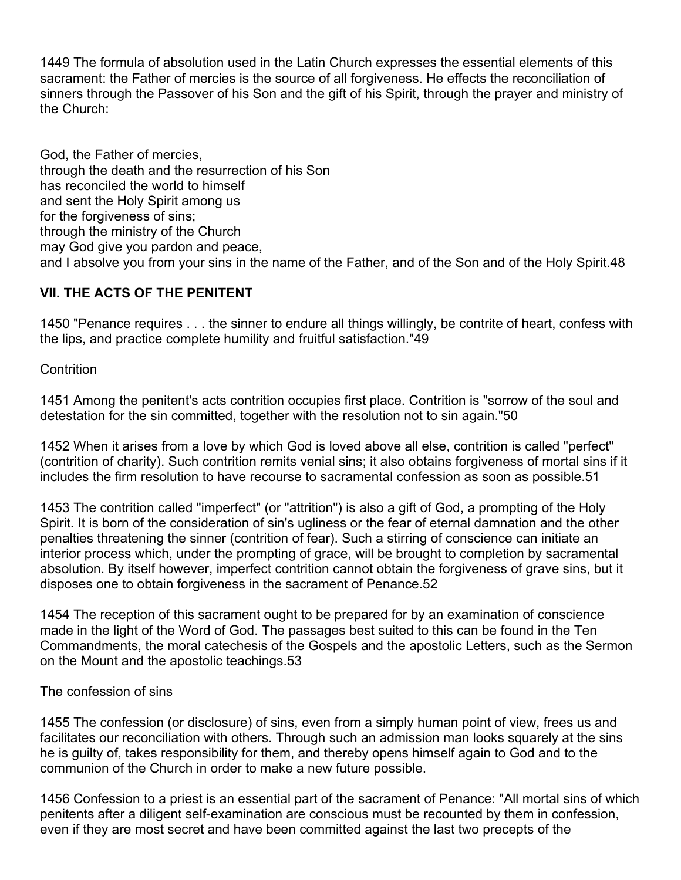1449 The formula of absolution used in the Latin Church expresses the essential elements of this sacrament: the Father of mercies is the source of all forgiveness. He effects the reconciliation of sinners through the Passover of his Son and the gift of his Spirit, through the prayer and ministry of the Church:

God, the Father of mercies, through the death and the resurrection of his Son has reconciled the world to himself and sent the Holy Spirit among us for the forgiveness of sins; through the ministry of the Church may God give you pardon and peace, and I absolve you from your sins in the name of the Father, and of the Son and of the Holy Spirit.48

## **VII. THE ACTS OF THE PENITENT**

1450 "Penance requires . . . the sinner to endure all things willingly, be contrite of heart, confess with the lips, and practice complete humility and fruitful satisfaction."49

**Contrition** 

1451 Among the penitent's acts contrition occupies first place. Contrition is "sorrow of the soul and detestation for the sin committed, together with the resolution not to sin again."50

1452 When it arises from a love by which God is loved above all else, contrition is called "perfect" (contrition of charity). Such contrition remits venial sins; it also obtains forgiveness of mortal sins if it includes the firm resolution to have recourse to sacramental confession as soon as possible.51

1453 The contrition called "imperfect" (or "attrition") is also a gift of God, a prompting of the Holy Spirit. It is born of the consideration of sin's ugliness or the fear of eternal damnation and the other penalties threatening the sinner (contrition of fear). Such a stirring of conscience can initiate an interior process which, under the prompting of grace, will be brought to completion by sacramental absolution. By itself however, imperfect contrition cannot obtain the forgiveness of grave sins, but it disposes one to obtain forgiveness in the sacrament of Penance.52

1454 The reception of this sacrament ought to be prepared for by an examination of conscience made in the light of the Word of God. The passages best suited to this can be found in the Ten Commandments, the moral catechesis of the Gospels and the apostolic Letters, such as the Sermon on the Mount and the apostolic teachings.53

## The confession of sins

1455 The confession (or disclosure) of sins, even from a simply human point of view, frees us and facilitates our reconciliation with others. Through such an admission man looks squarely at the sins he is guilty of, takes responsibility for them, and thereby opens himself again to God and to the communion of the Church in order to make a new future possible.

1456 Confession to a priest is an essential part of the sacrament of Penance: "All mortal sins of which penitents after a diligent self-examination are conscious must be recounted by them in confession, even if they are most secret and have been committed against the last two precepts of the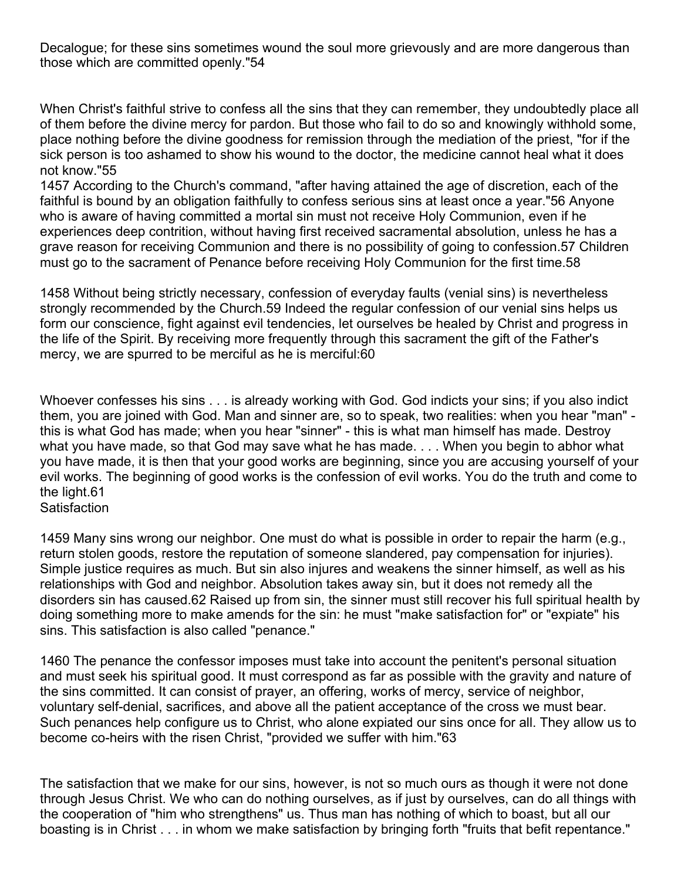Decalogue; for these sins sometimes wound the soul more grievously and are more dangerous than those which are committed openly."54

When Christ's faithful strive to confess all the sins that they can remember, they undoubtedly place all of them before the divine mercy for pardon. But those who fail to do so and knowingly withhold some, place nothing before the divine goodness for remission through the mediation of the priest, "for if the sick person is too ashamed to show his wound to the doctor, the medicine cannot heal what it does not know."55

1457 According to the Church's command, "after having attained the age of discretion, each of the faithful is bound by an obligation faithfully to confess serious sins at least once a year."56 Anyone who is aware of having committed a mortal sin must not receive Holy Communion, even if he experiences deep contrition, without having first received sacramental absolution, unless he has a grave reason for receiving Communion and there is no possibility of going to confession.57 Children must go to the sacrament of Penance before receiving Holy Communion for the first time.58

1458 Without being strictly necessary, confession of everyday faults (venial sins) is nevertheless strongly recommended by the Church.59 Indeed the regular confession of our venial sins helps us form our conscience, fight against evil tendencies, let ourselves be healed by Christ and progress in the life of the Spirit. By receiving more frequently through this sacrament the gift of the Father's mercy, we are spurred to be merciful as he is merciful:60

Whoever confesses his sins . . . is already working with God. God indicts your sins; if you also indict them, you are joined with God. Man and sinner are, so to speak, two realities: when you hear "man" this is what God has made; when you hear "sinner" - this is what man himself has made. Destroy what you have made, so that God may save what he has made. . . . When you begin to abhor what you have made, it is then that your good works are beginning, since you are accusing yourself of your evil works. The beginning of good works is the confession of evil works. You do the truth and come to the light.61 **Satisfaction** 

1459 Many sins wrong our neighbor. One must do what is possible in order to repair the harm (e.g., return stolen goods, restore the reputation of someone slandered, pay compensation for injuries). Simple justice requires as much. But sin also injures and weakens the sinner himself, as well as his relationships with God and neighbor. Absolution takes away sin, but it does not remedy all the disorders sin has caused.62 Raised up from sin, the sinner must still recover his full spiritual health by doing something more to make amends for the sin: he must "make satisfaction for" or "expiate" his sins. This satisfaction is also called "penance."

1460 The penance the confessor imposes must take into account the penitent's personal situation and must seek his spiritual good. It must correspond as far as possible with the gravity and nature of the sins committed. It can consist of prayer, an offering, works of mercy, service of neighbor, voluntary self-denial, sacrifices, and above all the patient acceptance of the cross we must bear. Such penances help configure us to Christ, who alone expiated our sins once for all. They allow us to become co-heirs with the risen Christ, "provided we suffer with him."63

The satisfaction that we make for our sins, however, is not so much ours as though it were not done through Jesus Christ. We who can do nothing ourselves, as if just by ourselves, can do all things with the cooperation of "him who strengthens" us. Thus man has nothing of which to boast, but all our boasting is in Christ . . . in whom we make satisfaction by bringing forth "fruits that befit repentance."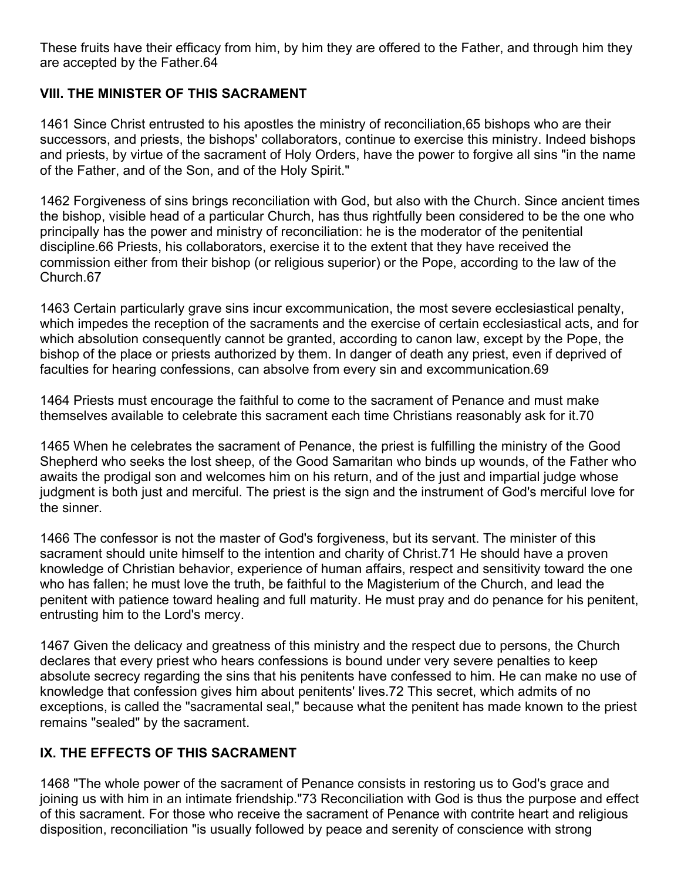These fruits have their efficacy from him, by him they are offered to the Father, and through him they are accepted by the Father.64

## **VIII. THE MINISTER OF THIS SACRAMENT**

1461 Since Christ entrusted to his apostles the ministry of reconciliation,65 bishops who are their successors, and priests, the bishops' collaborators, continue to exercise this ministry. Indeed bishops and priests, by virtue of the sacrament of Holy Orders, have the power to forgive all sins "in the name of the Father, and of the Son, and of the Holy Spirit."

1462 Forgiveness of sins brings reconciliation with God, but also with the Church. Since ancient times the bishop, visible head of a particular Church, has thus rightfully been considered to be the one who principally has the power and ministry of reconciliation: he is the moderator of the penitential discipline.66 Priests, his collaborators, exercise it to the extent that they have received the commission either from their bishop (or religious superior) or the Pope, according to the law of the Church.67

1463 Certain particularly grave sins incur excommunication, the most severe ecclesiastical penalty, which impedes the reception of the sacraments and the exercise of certain ecclesiastical acts, and for which absolution consequently cannot be granted, according to canon law, except by the Pope, the bishop of the place or priests authorized by them. In danger of death any priest, even if deprived of faculties for hearing confessions, can absolve from every sin and excommunication.69

1464 Priests must encourage the faithful to come to the sacrament of Penance and must make themselves available to celebrate this sacrament each time Christians reasonably ask for it.70

1465 When he celebrates the sacrament of Penance, the priest is fulfilling the ministry of the Good Shepherd who seeks the lost sheep, of the Good Samaritan who binds up wounds, of the Father who awaits the prodigal son and welcomes him on his return, and of the just and impartial judge whose judgment is both just and merciful. The priest is the sign and the instrument of God's merciful love for the sinner.

1466 The confessor is not the master of God's forgiveness, but its servant. The minister of this sacrament should unite himself to the intention and charity of Christ.71 He should have a proven knowledge of Christian behavior, experience of human affairs, respect and sensitivity toward the one who has fallen; he must love the truth, be faithful to the Magisterium of the Church, and lead the penitent with patience toward healing and full maturity. He must pray and do penance for his penitent, entrusting him to the Lord's mercy.

1467 Given the delicacy and greatness of this ministry and the respect due to persons, the Church declares that every priest who hears confessions is bound under very severe penalties to keep absolute secrecy regarding the sins that his penitents have confessed to him. He can make no use of knowledge that confession gives him about penitents' lives.72 This secret, which admits of no exceptions, is called the "sacramental seal," because what the penitent has made known to the priest remains "sealed" by the sacrament.

## **IX. THE EFFECTS OF THIS SACRAMENT**

1468 "The whole power of the sacrament of Penance consists in restoring us to God's grace and joining us with him in an intimate friendship."73 Reconciliation with God is thus the purpose and effect of this sacrament. For those who receive the sacrament of Penance with contrite heart and religious disposition, reconciliation "is usually followed by peace and serenity of conscience with strong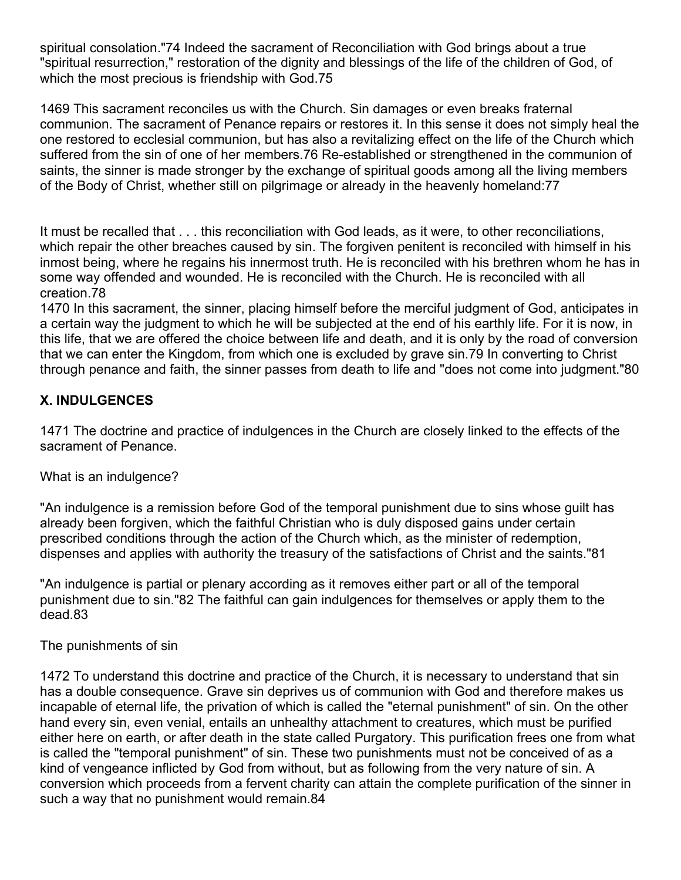spiritual consolation."74 Indeed the sacrament of Reconciliation with God brings about a true "spiritual resurrection," restoration of the dignity and blessings of the life of the children of God, of which the most precious is friendship with God.75

1469 This sacrament reconciles us with the Church. Sin damages or even breaks fraternal communion. The sacrament of Penance repairs or restores it. In this sense it does not simply heal the one restored to ecclesial communion, but has also a revitalizing effect on the life of the Church which suffered from the sin of one of her members.76 Re-established or strengthened in the communion of saints, the sinner is made stronger by the exchange of spiritual goods among all the living members of the Body of Christ, whether still on pilgrimage or already in the heavenly homeland:77

It must be recalled that . . . this reconciliation with God leads, as it were, to other reconciliations, which repair the other breaches caused by sin. The forgiven penitent is reconciled with himself in his inmost being, where he regains his innermost truth. He is reconciled with his brethren whom he has in some way offended and wounded. He is reconciled with the Church. He is reconciled with all creation.78

1470 In this sacrament, the sinner, placing himself before the merciful judgment of God, anticipates in a certain way the judgment to which he will be subjected at the end of his earthly life. For it is now, in this life, that we are offered the choice between life and death, and it is only by the road of conversion that we can enter the Kingdom, from which one is excluded by grave sin.79 In converting to Christ through penance and faith, the sinner passes from death to life and "does not come into judgment."80

# **X. INDULGENCES**

1471 The doctrine and practice of indulgences in the Church are closely linked to the effects of the sacrament of Penance.

## What is an indulgence?

"An indulgence is a remission before God of the temporal punishment due to sins whose guilt has already been forgiven, which the faithful Christian who is duly disposed gains under certain prescribed conditions through the action of the Church which, as the minister of redemption, dispenses and applies with authority the treasury of the satisfactions of Christ and the saints."81

"An indulgence is partial or plenary according as it removes either part or all of the temporal punishment due to sin."82 The faithful can gain indulgences for themselves or apply them to the dead.83

## The punishments of sin

1472 To understand this doctrine and practice of the Church, it is necessary to understand that sin has a double consequence. Grave sin deprives us of communion with God and therefore makes us incapable of eternal life, the privation of which is called the "eternal punishment" of sin. On the other hand every sin, even venial, entails an unhealthy attachment to creatures, which must be purified either here on earth, or after death in the state called Purgatory. This purification frees one from what is called the "temporal punishment" of sin. These two punishments must not be conceived of as a kind of vengeance inflicted by God from without, but as following from the very nature of sin. A conversion which proceeds from a fervent charity can attain the complete purification of the sinner in such a way that no punishment would remain.84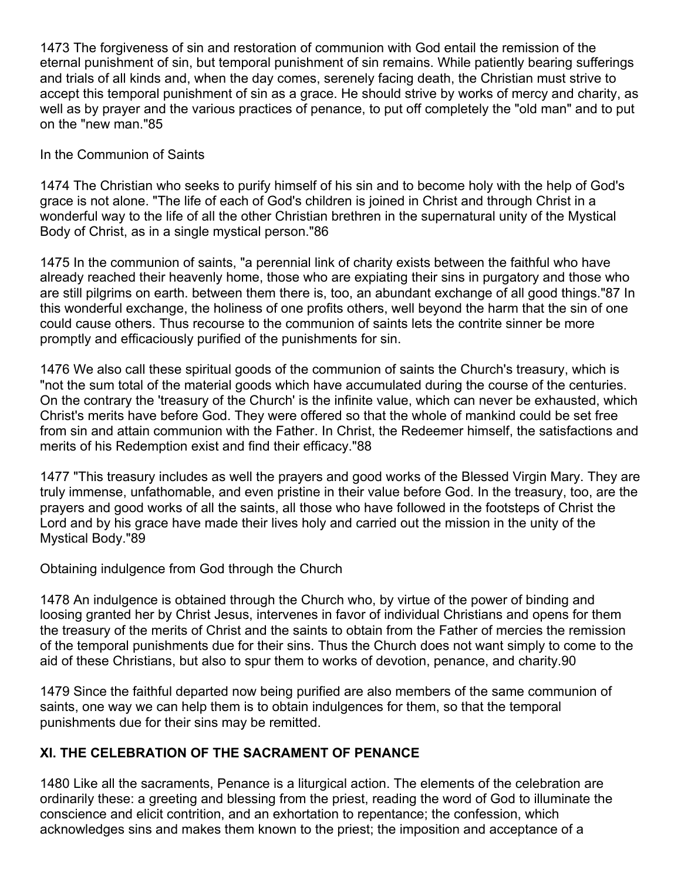1473 The forgiveness of sin and restoration of communion with God entail the remission of the eternal punishment of sin, but temporal punishment of sin remains. While patiently bearing sufferings and trials of all kinds and, when the day comes, serenely facing death, the Christian must strive to accept this temporal punishment of sin as a grace. He should strive by works of mercy and charity, as well as by prayer and the various practices of penance, to put off completely the "old man" and to put on the "new man."85

### In the Communion of Saints

1474 The Christian who seeks to purify himself of his sin and to become holy with the help of God's grace is not alone. "The life of each of God's children is joined in Christ and through Christ in a wonderful way to the life of all the other Christian brethren in the supernatural unity of the Mystical Body of Christ, as in a single mystical person."86

1475 In the communion of saints, "a perennial link of charity exists between the faithful who have already reached their heavenly home, those who are expiating their sins in purgatory and those who are still pilgrims on earth. between them there is, too, an abundant exchange of all good things."87 In this wonderful exchange, the holiness of one profits others, well beyond the harm that the sin of one could cause others. Thus recourse to the communion of saints lets the contrite sinner be more promptly and efficaciously purified of the punishments for sin.

1476 We also call these spiritual goods of the communion of saints the Church's treasury, which is "not the sum total of the material goods which have accumulated during the course of the centuries. On the contrary the 'treasury of the Church' is the infinite value, which can never be exhausted, which Christ's merits have before God. They were offered so that the whole of mankind could be set free from sin and attain communion with the Father. In Christ, the Redeemer himself, the satisfactions and merits of his Redemption exist and find their efficacy."88

1477 "This treasury includes as well the prayers and good works of the Blessed Virgin Mary. They are truly immense, unfathomable, and even pristine in their value before God. In the treasury, too, are the prayers and good works of all the saints, all those who have followed in the footsteps of Christ the Lord and by his grace have made their lives holy and carried out the mission in the unity of the Mystical Body."89

### Obtaining indulgence from God through the Church

1478 An indulgence is obtained through the Church who, by virtue of the power of binding and loosing granted her by Christ Jesus, intervenes in favor of individual Christians and opens for them the treasury of the merits of Christ and the saints to obtain from the Father of mercies the remission of the temporal punishments due for their sins. Thus the Church does not want simply to come to the aid of these Christians, but also to spur them to works of devotion, penance, and charity.90

1479 Since the faithful departed now being purified are also members of the same communion of saints, one way we can help them is to obtain indulgences for them, so that the temporal punishments due for their sins may be remitted.

## **XI. THE CELEBRATION OF THE SACRAMENT OF PENANCE**

1480 Like all the sacraments, Penance is a liturgical action. The elements of the celebration are ordinarily these: a greeting and blessing from the priest, reading the word of God to illuminate the conscience and elicit contrition, and an exhortation to repentance; the confession, which acknowledges sins and makes them known to the priest; the imposition and acceptance of a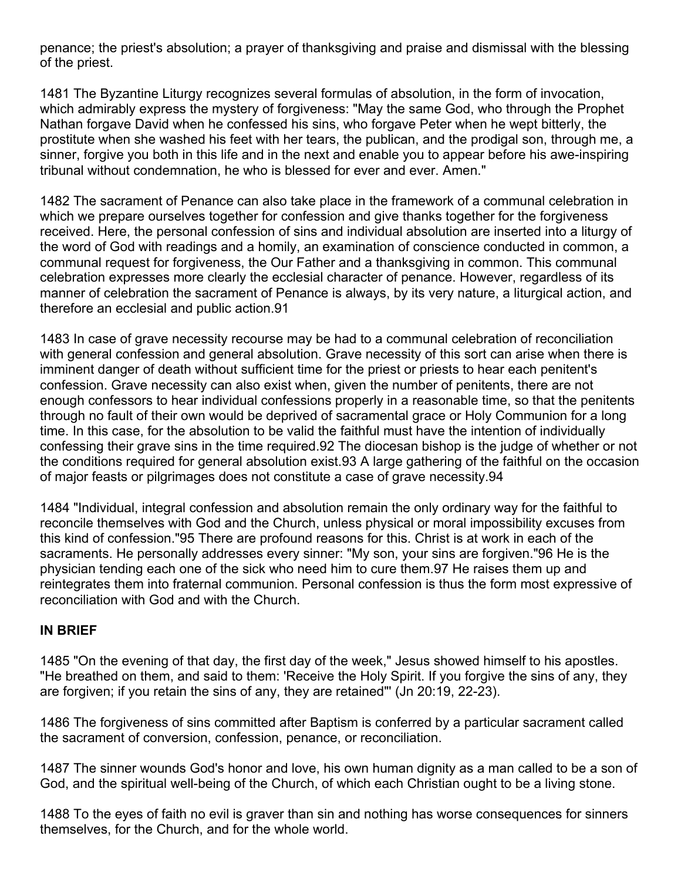penance; the priest's absolution; a prayer of thanksgiving and praise and dismissal with the blessing of the priest.

1481 The Byzantine Liturgy recognizes several formulas of absolution, in the form of invocation, which admirably express the mystery of forgiveness: "May the same God, who through the Prophet Nathan forgave David when he confessed his sins, who forgave Peter when he wept bitterly, the prostitute when she washed his feet with her tears, the publican, and the prodigal son, through me, a sinner, forgive you both in this life and in the next and enable you to appear before his awe-inspiring tribunal without condemnation, he who is blessed for ever and ever. Amen."

1482 The sacrament of Penance can also take place in the framework of a communal celebration in which we prepare ourselves together for confession and give thanks together for the forgiveness received. Here, the personal confession of sins and individual absolution are inserted into a liturgy of the word of God with readings and a homily, an examination of conscience conducted in common, a communal request for forgiveness, the Our Father and a thanksgiving in common. This communal celebration expresses more clearly the ecclesial character of penance. However, regardless of its manner of celebration the sacrament of Penance is always, by its very nature, a liturgical action, and therefore an ecclesial and public action.91

1483 In case of grave necessity recourse may be had to a communal celebration of reconciliation with general confession and general absolution. Grave necessity of this sort can arise when there is imminent danger of death without sufficient time for the priest or priests to hear each penitent's confession. Grave necessity can also exist when, given the number of penitents, there are not enough confessors to hear individual confessions properly in a reasonable time, so that the penitents through no fault of their own would be deprived of sacramental grace or Holy Communion for a long time. In this case, for the absolution to be valid the faithful must have the intention of individually confessing their grave sins in the time required.92 The diocesan bishop is the judge of whether or not the conditions required for general absolution exist.93 A large gathering of the faithful on the occasion of major feasts or pilgrimages does not constitute a case of grave necessity.94

1484 "Individual, integral confession and absolution remain the only ordinary way for the faithful to reconcile themselves with God and the Church, unless physical or moral impossibility excuses from this kind of confession."95 There are profound reasons for this. Christ is at work in each of the sacraments. He personally addresses every sinner: "My son, your sins are forgiven."96 He is the physician tending each one of the sick who need him to cure them.97 He raises them up and reintegrates them into fraternal communion. Personal confession is thus the form most expressive of reconciliation with God and with the Church.

### **IN BRIEF**

1485 "On the evening of that day, the first day of the week," Jesus showed himself to his apostles. "He breathed on them, and said to them: 'Receive the Holy Spirit. If you forgive the sins of any, they are forgiven; if you retain the sins of any, they are retained"' (Jn 20:19, 22-23).

1486 The forgiveness of sins committed after Baptism is conferred by a particular sacrament called the sacrament of conversion, confession, penance, or reconciliation.

1487 The sinner wounds God's honor and love, his own human dignity as a man called to be a son of God, and the spiritual well-being of the Church, of which each Christian ought to be a living stone.

1488 To the eyes of faith no evil is graver than sin and nothing has worse consequences for sinners themselves, for the Church, and for the whole world.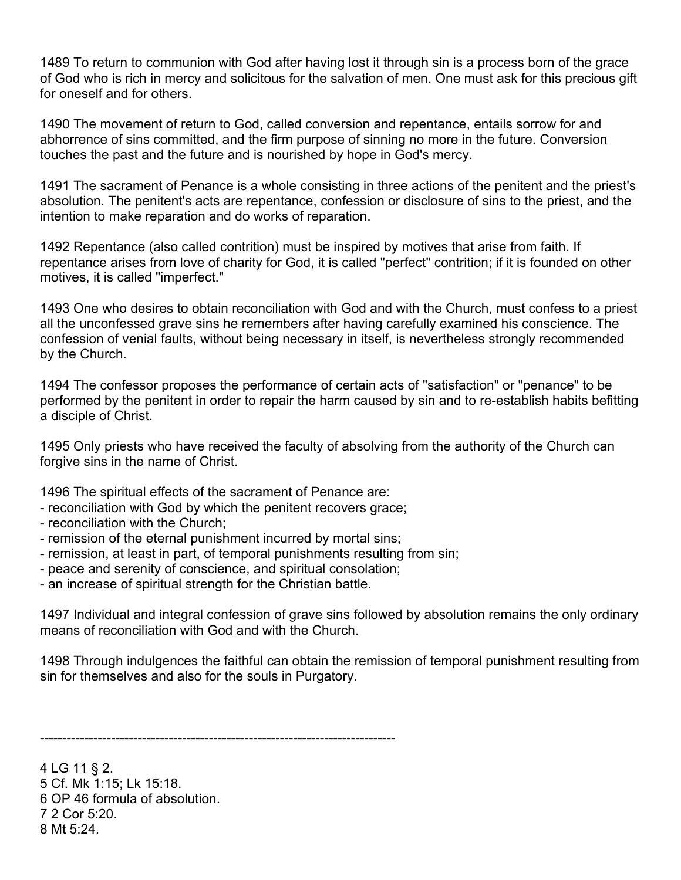1489 To return to communion with God after having lost it through sin is a process born of the grace of God who is rich in mercy and solicitous for the salvation of men. One must ask for this precious gift for oneself and for others.

1490 The movement of return to God, called conversion and repentance, entails sorrow for and abhorrence of sins committed, and the firm purpose of sinning no more in the future. Conversion touches the past and the future and is nourished by hope in God's mercy.

1491 The sacrament of Penance is a whole consisting in three actions of the penitent and the priest's absolution. The penitent's acts are repentance, confession or disclosure of sins to the priest, and the intention to make reparation and do works of reparation.

1492 Repentance (also called contrition) must be inspired by motives that arise from faith. If repentance arises from love of charity for God, it is called "perfect" contrition; if it is founded on other motives, it is called "imperfect."

1493 One who desires to obtain reconciliation with God and with the Church, must confess to a priest all the unconfessed grave sins he remembers after having carefully examined his conscience. The confession of venial faults, without being necessary in itself, is nevertheless strongly recommended by the Church.

1494 The confessor proposes the performance of certain acts of "satisfaction" or "penance" to be performed by the penitent in order to repair the harm caused by sin and to re-establish habits befitting a disciple of Christ.

1495 Only priests who have received the faculty of absolving from the authority of the Church can forgive sins in the name of Christ.

1496 The spiritual effects of the sacrament of Penance are:

- reconciliation with God by which the penitent recovers grace;
- reconciliation with the Church;
- remission of the eternal punishment incurred by mortal sins;
- remission, at least in part, of temporal punishments resulting from sin;
- peace and serenity of conscience, and spiritual consolation;
- an increase of spiritual strength for the Christian battle.

1497 Individual and integral confession of grave sins followed by absolution remains the only ordinary means of reconciliation with God and with the Church.

1498 Through indulgences the faithful can obtain the remission of temporal punishment resulting from sin for themselves and also for the souls in Purgatory.

--------------------------------------------------------------------------------

4 LG 11 § 2. 5 Cf. Mk 1:15; Lk 15:18. 6 OP 46 formula of absolution. 7 2 Cor 5:20. 8 Mt 5:24.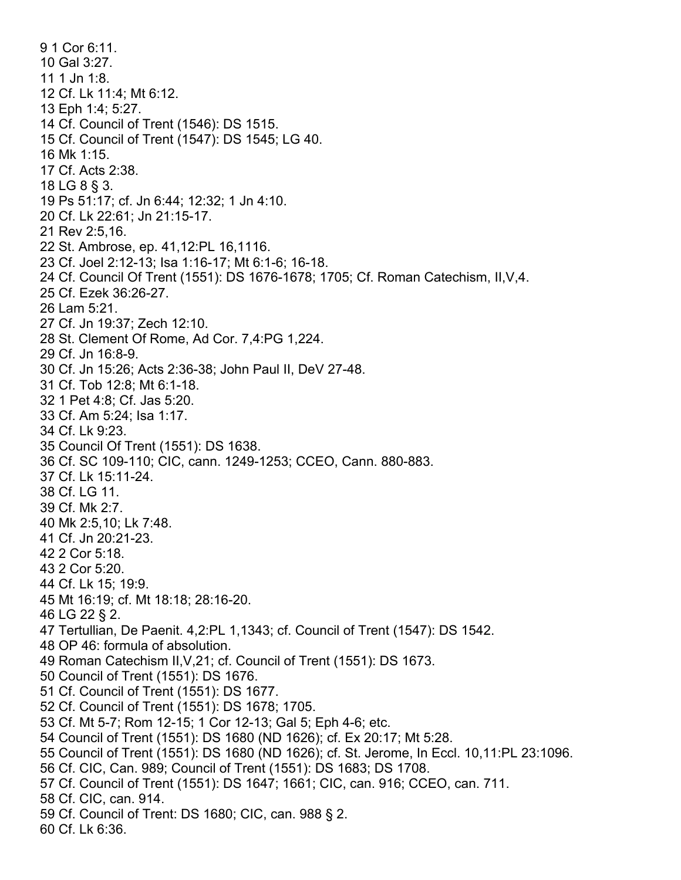9 1 Cor 6:11. 10 Gal 3:27. 11 1 Jn 1:8. 12 Cf. Lk 11:4; Mt 6:12. 13 Eph 1:4; 5:27. 14 Cf. Council of Trent (1546): DS 1515. 15 Cf. Council of Trent (1547): DS 1545; LG 40. 16 Mk 1:15. 17 Cf. Acts 2:38. 18 LG 8 § 3. 19 Ps 51:17; cf. Jn 6:44; 12:32; 1 Jn 4:10. 20 Cf. Lk 22:61; Jn 21:15-17. 21 Rev 2:5,16. 22 St. Ambrose, ep. 41,12:PL 16,1116. 23 Cf. Joel 2:12-13; Isa 1:16-17; Mt 6:1-6; 16-18. 24 Cf. Council Of Trent (1551): DS 1676-1678; 1705; Cf. Roman Catechism, II,V,4. 25 Cf. Ezek 36:26-27. 26 Lam 5:21. 27 Cf. Jn 19:37; Zech 12:10. 28 St. Clement Of Rome, Ad Cor. 7,4:PG 1,224. 29 Cf. Jn 16:8-9. 30 Cf. Jn 15:26; Acts 2:36-38; John Paul II, DeV 27-48. 31 Cf. Tob 12:8; Mt 6:1-18. 32 1 Pet 4:8; Cf. Jas 5:20. 33 Cf. Am 5:24; Isa 1:17. 34 Cf. Lk 9:23. 35 Council Of Trent (1551): DS 1638. 36 Cf. SC 109-110; CIC, cann. 1249-1253; CCEO, Cann. 880-883. 37 Cf. Lk 15:11-24. 38 Cf. LG 11. 39 Cf. Mk 2:7. 40 Mk 2:5,10; Lk 7:48. 41 Cf. Jn 20:21-23. 42 2 Cor 5:18. 43 2 Cor 5:20. 44 Cf. Lk 15; 19:9. 45 Mt 16:19; cf. Mt 18:18; 28:16-20. 46 LG 22 § 2. 47 Tertullian, De Paenit. 4,2:PL 1,1343; cf. Council of Trent (1547): DS 1542. 48 OP 46: formula of absolution. 49 Roman Catechism II,V,21; cf. Council of Trent (1551): DS 1673. 50 Council of Trent (1551): DS 1676. 51 Cf. Council of Trent (1551): DS 1677. 52 Cf. Council of Trent (1551): DS 1678; 1705. 53 Cf. Mt 5-7; Rom 12-15; 1 Cor 12-13; Gal 5; Eph 4-6; etc. 54 Council of Trent (1551): DS 1680 (ND 1626); cf. Ex 20:17; Mt 5:28. 55 Council of Trent (1551): DS 1680 (ND 1626); cf. St. Jerome, In Eccl. 10,11:PL 23:1096. 56 Cf. CIC, Can. 989; Council of Trent (1551): DS 1683; DS 1708. 57 Cf. Council of Trent (1551): DS 1647; 1661; CIC, can. 916; CCEO, can. 711. 58 Cf. CIC, can. 914. 59 Cf. Council of Trent: DS 1680; CIC, can. 988 § 2. 60 Cf. Lk 6:36.